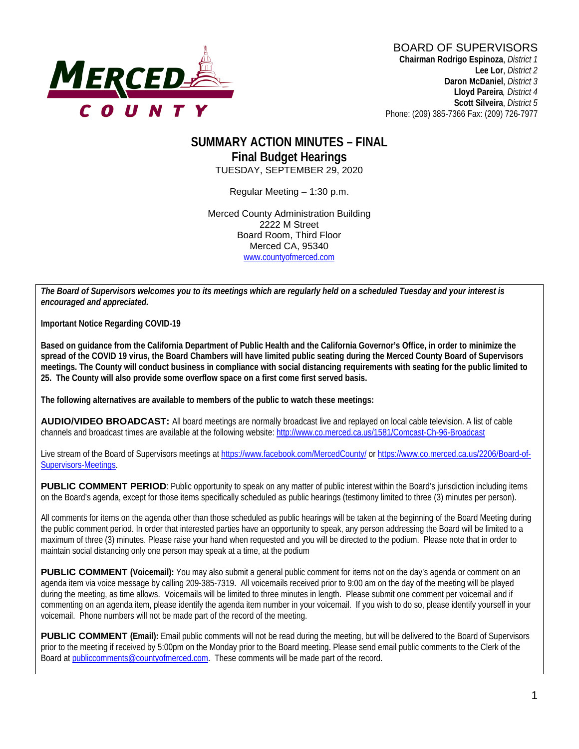

### **SUMMARY ACTION MINUTES – FINAL Final Budget Hearings** TUESDAY, SEPTEMBER 29, 2020

Regular Meeting – 1:30 p.m.

Merced County Administration Building 2222 M Street Board Room, Third Floor Merced CA, 95340 www.countyofmerced.com

*The Board of Supervisors welcomes you to its meetings which are regularly held on a scheduled Tuesday and your interest is encouraged and appreciated.*

**Important Notice Regarding COVID-19**

**Based on guidance from the California Department of Public Health and the California Governor's Office, in order to minimize the spread of the COVID 19 virus, the Board Chambers will have limited public seating during the Merced County Board of Supervisors meetings. The County will conduct business in compliance with social distancing requirements with seating for the public limited to 25. The County will also provide some overflow space on a first come first served basis.**

**The following alternatives are available to members of the public to watch these meetings:**

**AUDIO/VIDEO BROADCAST:** All board meetings are normally broadcast live and replayed on local cable television. A list of cable channels and broadcast times are available at the following website[: http://www.co.merced.ca.us/1581/Comcast-Ch-96-Broadcast](http://www.co.merced.ca.us/1581/Comcast-Ch-96-Broadcast)

Live stream of the Board of Supervisors meetings at<https://www.facebook.com/MercedCounty/> o[r https://www.co.merced.ca.us/2206/Board-of-](https://www.co.merced.ca.us/2206/Board-of-Supervisors-Meetings)[Supervisors-Meetings.](https://www.co.merced.ca.us/2206/Board-of-Supervisors-Meetings)

**PUBLIC COMMENT PERIOD**: Public opportunity to speak on any matter of public interest within the Board's jurisdiction including items on the Board's agenda, except for those items specifically scheduled as public hearings (testimony limited to three (3) minutes per person).

All comments for items on the agenda other than those scheduled as public hearings will be taken at the beginning of the Board Meeting during the public comment period. In order that interested parties have an opportunity to speak, any person addressing the Board will be limited to a maximum of three (3) minutes. Please raise your hand when requested and you will be directed to the podium. Please note that in order to maintain social distancing only one person may speak at a time, at the podium

**PUBLIC COMMENT (Voicemail):** You may also submit a general public comment for items not on the day's agenda or comment on an agenda item via voice message by calling 209-385-7319. All voicemails received prior to 9:00 am on the day of the meeting will be played during the meeting, as time allows. Voicemails will be limited to three minutes in length. Please submit one comment per voicemail and if commenting on an agenda item, please identify the agenda item number in your voicemail. If you wish to do so, please identify yourself in your voicemail. Phone numbers will not be made part of the record of the meeting.

**PUBLIC COMMENT (Email):** Email public comments will not be read during the meeting, but will be delivered to the Board of Supervisors prior to the meeting if received by 5:00pm on the Monday prior to the Board meeting. Please send email public comments to the Clerk of the Board a[t publiccomments@countyofmerced.com.](mailto:publiccomments@countyofmerced.com) These comments will be made part of the record.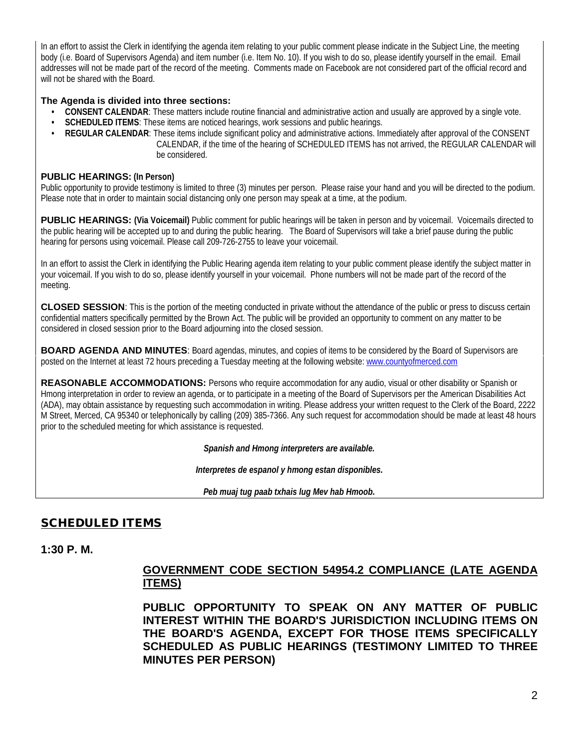In an effort to assist the Clerk in identifying the agenda item relating to your public comment please indicate in the Subject Line, the meeting body (i.e. Board of Supervisors Agenda) and item number (i.e. Item No. 10). If you wish to do so, please identify yourself in the email. Email addresses will not be made part of the record of the meeting. Comments made on Facebook are not considered part of the official record and will not be shared with the Board.

#### **The Agenda is divided into three sections:**

- **CONSENT CALENDAR**: These matters include routine financial and administrative action and usually are approved by a single vote.
- **SCHEDULED ITEMS**: These items are noticed hearings, work sessions and public hearings.
- **REGULAR CALENDAR**: These items include significant policy and administrative actions. Immediately after approval of the CONSENT CALENDAR, if the time of the hearing of SCHEDULED ITEMS has not arrived, the REGULAR CALENDAR will be considered.

#### **PUBLIC HEARINGS: (In Person)**

Public opportunity to provide testimony is limited to three (3) minutes per person. Please raise your hand and you will be directed to the podium. Please note that in order to maintain social distancing only one person may speak at a time, at the podium.

**PUBLIC HEARINGS:** (Via Voicemail) Public comment for public hearings will be taken in person and by voicemail. Voicemails directed to the public hearing will be accepted up to and during the public hearing. The Board of Supervisors will take a brief pause during the public hearing for persons using voicemail. Please call 209-726-2755 to leave your voicemail.

In an effort to assist the Clerk in identifying the Public Hearing agenda item relating to your public comment please identify the subject matter in your voicemail. If you wish to do so, please identify yourself in your voicemail. Phone numbers will not be made part of the record of the meeting.

**CLOSED SESSION**: This is the portion of the meeting conducted in private without the attendance of the public or press to discuss certain confidential matters specifically permitted by the Brown Act. The public will be provided an opportunity to comment on any matter to be considered in closed session prior to the Board adjourning into the closed session.

**BOARD AGENDA AND MINUTES:** Board agendas, minutes, and copies of items to be considered by the Board of Supervisors are posted on the Internet at least 72 hours preceding a Tuesday meeting at the following website: [www.countyofmerced.com](http://www.countyofmerced.com/) 

**REASONABLE ACCOMMODATIONS:** Persons who require accommodation for any audio, visual or other disability or Spanish or Hmong interpretation in order to review an agenda, or to participate in a meeting of the Board of Supervisors per the American Disabilities Act (ADA), may obtain assistance by requesting such accommodation in writing. Please address your written request to the Clerk of the Board, 2222 M Street, Merced, CA 95340 or telephonically by calling (209) 385-7366. Any such request for accommodation should be made at least 48 hours prior to the scheduled meeting for which assistance is requested.

*Spanish and Hmong interpreters are available.*

*Interpretes de espanol y hmong estan disponibles.*

*Peb muaj tug paab txhais lug Mev hab Hmoob.* 

# SCHEDULED ITEMS

**1:30 P. M.**

### **GOVERNMENT CODE SECTION 54954.2 COMPLIANCE (LATE AGENDA ITEMS)**

**PUBLIC OPPORTUNITY TO SPEAK ON ANY MATTER OF PUBLIC INTEREST WITHIN THE BOARD'S JURISDICTION INCLUDING ITEMS ON THE BOARD'S AGENDA, EXCEPT FOR THOSE ITEMS SPECIFICALLY SCHEDULED AS PUBLIC HEARINGS (TESTIMONY LIMITED TO THREE MINUTES PER PERSON)**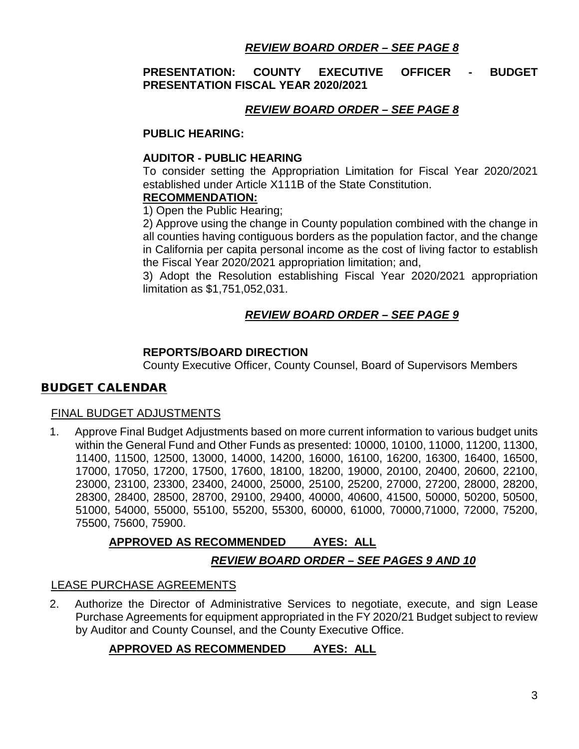### *REVIEW BOARD ORDER – SEE PAGE 8*

### **PRESENTATION: COUNTY EXECUTIVE OFFICER - BUDGET PRESENTATION FISCAL YEAR 2020/2021**

### *REVIEW BOARD ORDER – SEE PAGE 8*

#### **PUBLIC HEARING:**

#### **AUDITOR - PUBLIC HEARING**

To consider setting the Appropriation Limitation for Fiscal Year 2020/2021 established under Article X111B of the State Constitution.

#### **RECOMMENDATION:**

1) Open the Public Hearing;

2) Approve using the change in County population combined with the change in all counties having contiguous borders as the population factor, and the change in California per capita personal income as the cost of living factor to establish the Fiscal Year 2020/2021 appropriation limitation; and,

3) Adopt the Resolution establishing Fiscal Year 2020/2021 appropriation limitation as \$1,751,052,031.

# *REVIEW BOARD ORDER – SEE PAGE 9*

#### **REPORTS/BOARD DIRECTION**

County Executive Officer, County Counsel, Board of Supervisors Members

### BUDGET CALENDAR

#### FINAL BUDGET ADJUSTMENTS

1. Approve Final Budget Adjustments based on more current information to various budget units within the General Fund and Other Funds as presented: 10000, 10100, 11000, 11200, 11300, 11400, 11500, 12500, 13000, 14000, 14200, 16000, 16100, 16200, 16300, 16400, 16500, 17000, 17050, 17200, 17500, 17600, 18100, 18200, 19000, 20100, 20400, 20600, 22100, 23000, 23100, 23300, 23400, 24000, 25000, 25100, 25200, 27000, 27200, 28000, 28200, 28300, 28400, 28500, 28700, 29100, 29400, 40000, 40600, 41500, 50000, 50200, 50500, 51000, 54000, 55000, 55100, 55200, 55300, 60000, 61000, 70000,71000, 72000, 75200, 75500, 75600, 75900.

### **APPROVED AS RECOMMENDED AYES: ALL**

### *REVIEW BOARD ORDER – SEE PAGES 9 AND 10*

#### LEASE PURCHASE AGREEMENTS

2. Authorize the Director of Administrative Services to negotiate, execute, and sign Lease Purchase Agreements for equipment appropriated in the FY 2020/21 Budget subject to review by Auditor and County Counsel, and the County Executive Office.

### **APPROVED AS RECOMMENDED AYES: ALL**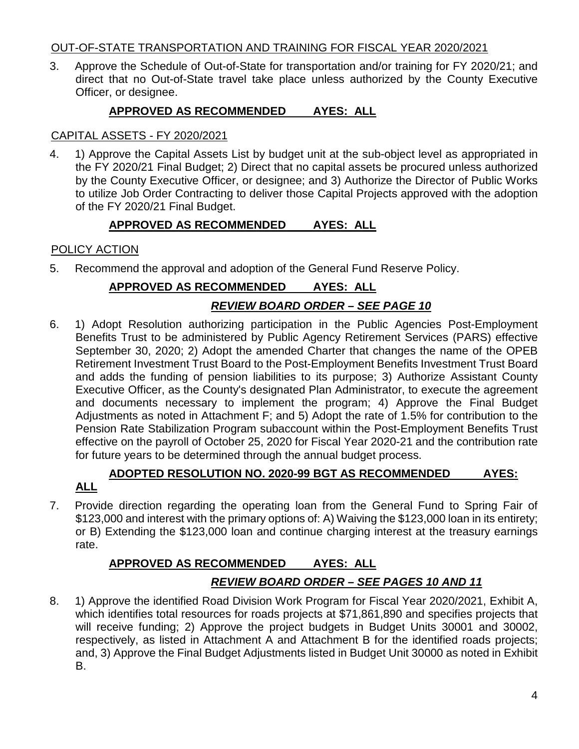### OUT-OF-STATE TRANSPORTATION AND TRAINING FOR FISCAL YEAR 2020/2021

3. Approve the Schedule of Out-of-State for transportation and/or training for FY 2020/21; and direct that no Out-of-State travel take place unless authorized by the County Executive Officer, or designee.

# **APPROVED AS RECOMMENDED AYES: ALL**

### CAPITAL ASSETS - FY 2020/2021

4. 1) Approve the Capital Assets List by budget unit at the sub-object level as appropriated in the FY 2020/21 Final Budget; 2) Direct that no capital assets be procured unless authorized by the County Executive Officer, or designee; and 3) Authorize the Director of Public Works to utilize Job Order Contracting to deliver those Capital Projects approved with the adoption of the FY 2020/21 Final Budget.

# **APPROVED AS RECOMMENDED AYES: ALL**

# POLICY ACTION

5. Recommend the approval and adoption of the General Fund Reserve Policy.

# **APPROVED AS RECOMMENDED AYES: ALL**

# *REVIEW BOARD ORDER – SEE PAGE 10*

6. 1) Adopt Resolution authorizing participation in the Public Agencies Post-Employment Benefits Trust to be administered by Public Agency Retirement Services (PARS) effective September 30, 2020; 2) Adopt the amended Charter that changes the name of the OPEB Retirement Investment Trust Board to the Post-Employment Benefits Investment Trust Board and adds the funding of pension liabilities to its purpose; 3) Authorize Assistant County Executive Officer, as the County's designated Plan Administrator, to execute the agreement and documents necessary to implement the program; 4) Approve the Final Budget Adjustments as noted in Attachment F; and 5) Adopt the rate of 1.5% for contribution to the Pension Rate Stabilization Program subaccount within the Post-Employment Benefits Trust effective on the payroll of October 25, 2020 for Fiscal Year 2020-21 and the contribution rate for future years to be determined through the annual budget process.

# **ADOPTED RESOLUTION NO. 2020-99 BGT AS RECOMMENDED AYES: ALL**

7. Provide direction regarding the operating loan from the General Fund to Spring Fair of \$123,000 and interest with the primary options of: A) Waiving the \$123,000 loan in its entirety; or B) Extending the \$123,000 loan and continue charging interest at the treasury earnings rate.

# **APPROVED AS RECOMMENDED AYES: ALL** *REVIEW BOARD ORDER – SEE PAGES 10 AND 11*

8. 1) Approve the identified Road Division Work Program for Fiscal Year 2020/2021, Exhibit A, which identifies total resources for roads projects at \$71,861,890 and specifies projects that will receive funding; 2) Approve the project budgets in Budget Units 30001 and 30002, respectively, as listed in Attachment A and Attachment B for the identified roads projects; and, 3) Approve the Final Budget Adjustments listed in Budget Unit 30000 as noted in Exhibit B.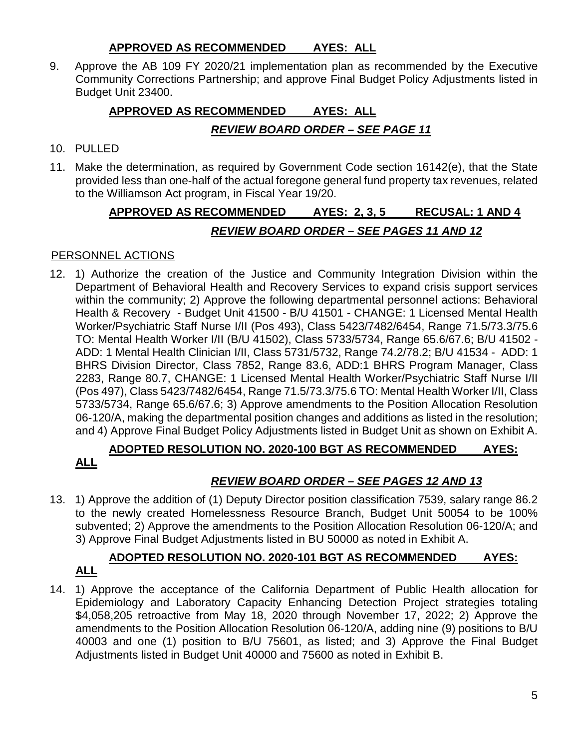### **APPROVED AS RECOMMENDED AYES: ALL**

9. Approve the AB 109 FY 2020/21 implementation plan as recommended by the Executive Community Corrections Partnership; and approve Final Budget Policy Adjustments listed in Budget Unit 23400.

# **APPROVED AS RECOMMENDED AYES: ALL**

# *REVIEW BOARD ORDER – SEE PAGE 11*

- 10. PULLED
- 11. Make the determination, as required by Government Code section 16142(e), that the State provided less than one-half of the actual foregone general fund property tax revenues, related to the Williamson Act program, in Fiscal Year 19/20.

# **APPROVED AS RECOMMENDED AYES: 2, 3, 5 RECUSAL: 1 AND 4** *REVIEW BOARD ORDER – SEE PAGES 11 AND 12*

# PERSONNEL ACTIONS

12. 1) Authorize the creation of the Justice and Community Integration Division within the Department of Behavioral Health and Recovery Services to expand crisis support services within the community; 2) Approve the following departmental personnel actions: Behavioral Health & Recovery - Budget Unit 41500 - B/U 41501 - CHANGE: 1 Licensed Mental Health Worker/Psychiatric Staff Nurse I/II (Pos 493), Class 5423/7482/6454, Range 71.5/73.3/75.6 TO: Mental Health Worker I/II (B/U 41502), Class 5733/5734, Range 65.6/67.6; B/U 41502 - ADD: 1 Mental Health Clinician I/II, Class 5731/5732, Range 74.2/78.2; B/U 41534 - ADD: 1 BHRS Division Director, Class 7852, Range 83.6, ADD:1 BHRS Program Manager, Class 2283, Range 80.7, CHANGE: 1 Licensed Mental Health Worker/Psychiatric Staff Nurse I/II (Pos 497), Class 5423/7482/6454, Range 71.5/73.3/75.6 TO: Mental Health Worker I/II, Class 5733/5734, Range 65.6/67.6; 3) Approve amendments to the Position Allocation Resolution 06-120/A, making the departmental position changes and additions as listed in the resolution; and 4) Approve Final Budget Policy Adjustments listed in Budget Unit as shown on Exhibit A.

# **ADOPTED RESOLUTION NO. 2020-100 BGT AS RECOMMENDED AYES: ALL**

# *REVIEW BOARD ORDER – SEE PAGES 12 AND 13*

13. 1) Approve the addition of (1) Deputy Director position classification 7539, salary range 86.2 to the newly created Homelessness Resource Branch, Budget Unit 50054 to be 100% subvented; 2) Approve the amendments to the Position Allocation Resolution 06-120/A; and 3) Approve Final Budget Adjustments listed in BU 50000 as noted in Exhibit A.

### **ADOPTED RESOLUTION NO. 2020-101 BGT AS RECOMMENDED AYES: ALL**

14. 1) Approve the acceptance of the California Department of Public Health allocation for Epidemiology and Laboratory Capacity Enhancing Detection Project strategies totaling \$4,058,205 retroactive from May 18, 2020 through November 17, 2022; 2) Approve the amendments to the Position Allocation Resolution 06-120/A, adding nine (9) positions to B/U 40003 and one (1) position to B/U 75601, as listed; and 3) Approve the Final Budget Adjustments listed in Budget Unit 40000 and 75600 as noted in Exhibit B.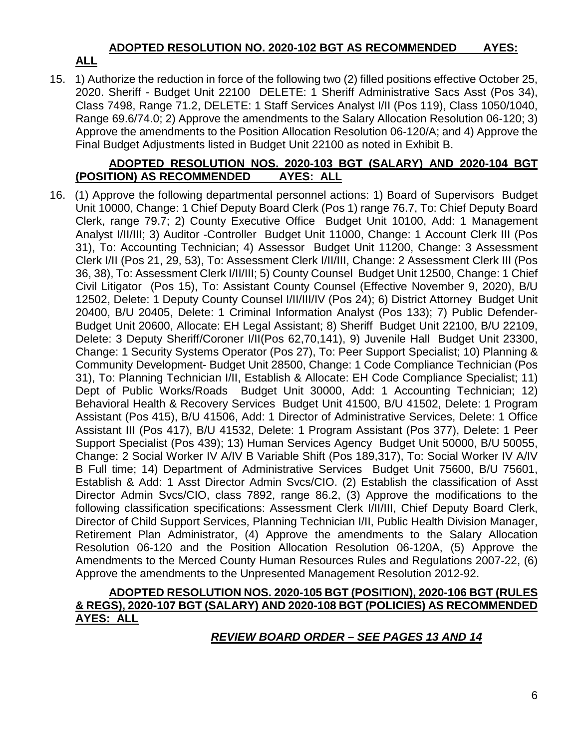### **ADOPTED RESOLUTION NO. 2020-102 BGT AS RECOMMENDED AYES:**

# **ALL**

15. 1) Authorize the reduction in force of the following two (2) filled positions effective October 25, 2020. Sheriff - Budget Unit 22100 DELETE: 1 Sheriff Administrative Sacs Asst (Pos 34), Class 7498, Range 71.2, DELETE: 1 Staff Services Analyst I/II (Pos 119), Class 1050/1040, Range 69.6/74.0; 2) Approve the amendments to the Salary Allocation Resolution 06-120; 3) Approve the amendments to the Position Allocation Resolution 06-120/A; and 4) Approve the Final Budget Adjustments listed in Budget Unit 22100 as noted in Exhibit B.

### **ADOPTED RESOLUTION NOS. 2020-103 BGT (SALARY) AND 2020-104 BGT (POSITION) AS RECOMMENDED AYES: ALL**

16. (1) Approve the following departmental personnel actions: 1) Board of Supervisors Budget Unit 10000, Change: 1 Chief Deputy Board Clerk (Pos 1) range 76.7, To: Chief Deputy Board Clerk, range 79.7; 2) County Executive Office Budget Unit 10100, Add: 1 Management Analyst I/II/III; 3) Auditor -Controller Budget Unit 11000, Change: 1 Account Clerk III (Pos 31), To: Accounting Technician; 4) Assessor Budget Unit 11200, Change: 3 Assessment Clerk I/II (Pos 21, 29, 53), To: Assessment Clerk I/II/III, Change: 2 Assessment Clerk III (Pos 36, 38), To: Assessment Clerk I/II/III; 5) County Counsel Budget Unit 12500, Change: 1 Chief Civil Litigator (Pos 15), To: Assistant County Counsel (Effective November 9, 2020), B/U 12502, Delete: 1 Deputy County Counsel I/II/III/IV (Pos 24); 6) District Attorney Budget Unit 20400, B/U 20405, Delete: 1 Criminal Information Analyst (Pos 133); 7) Public Defender-Budget Unit 20600, Allocate: EH Legal Assistant; 8) Sheriff Budget Unit 22100, B/U 22109, Delete: 3 Deputy Sheriff/Coroner I/II(Pos 62,70,141), 9) Juvenile Hall Budget Unit 23300, Change: 1 Security Systems Operator (Pos 27), To: Peer Support Specialist; 10) Planning & Community Development- Budget Unit 28500, Change: 1 Code Compliance Technician (Pos 31), To: Planning Technician I/II, Establish & Allocate: EH Code Compliance Specialist; 11) Dept of Public Works/Roads Budget Unit 30000, Add: 1 Accounting Technician; 12) Behavioral Health & Recovery Services Budget Unit 41500, B/U 41502, Delete: 1 Program Assistant (Pos 415), B/U 41506, Add: 1 Director of Administrative Services, Delete: 1 Office Assistant III (Pos 417), B/U 41532, Delete: 1 Program Assistant (Pos 377), Delete: 1 Peer Support Specialist (Pos 439); 13) Human Services Agency Budget Unit 50000, B/U 50055, Change: 2 Social Worker IV A/IV B Variable Shift (Pos 189,317), To: Social Worker IV A/IV B Full time; 14) Department of Administrative Services Budget Unit 75600, B/U 75601, Establish & Add: 1 Asst Director Admin Svcs/CIO. (2) Establish the classification of Asst Director Admin Svcs/CIO, class 7892, range 86.2, (3) Approve the modifications to the following classification specifications: Assessment Clerk I/II/III, Chief Deputy Board Clerk, Director of Child Support Services, Planning Technician I/II, Public Health Division Manager, Retirement Plan Administrator, (4) Approve the amendments to the Salary Allocation Resolution 06-120 and the Position Allocation Resolution 06-120A, (5) Approve the Amendments to the Merced County Human Resources Rules and Regulations 2007-22, (6) Approve the amendments to the Unpresented Management Resolution 2012-92.

#### **ADOPTED RESOLUTION NOS. 2020-105 BGT (POSITION), 2020-106 BGT (RULES & REGS), 2020-107 BGT (SALARY) AND 2020-108 BGT (POLICIES) AS RECOMMENDED AYES: ALL**

# *REVIEW BOARD ORDER – SEE PAGES 13 AND 14*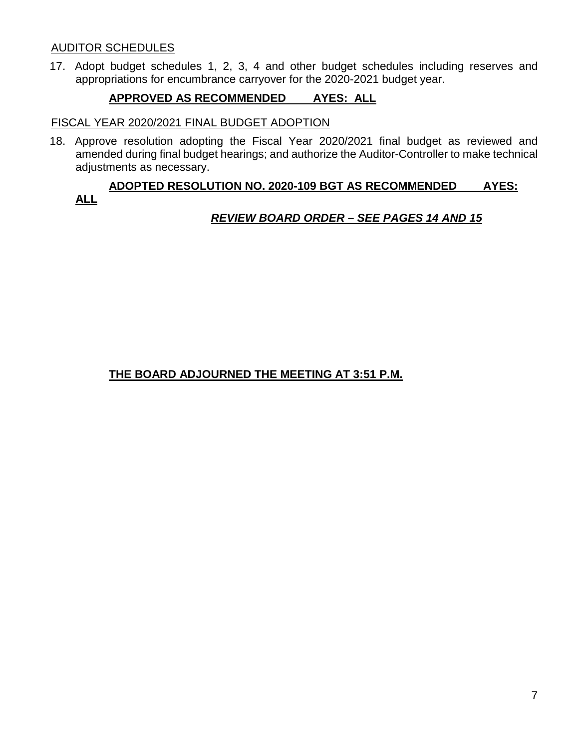### AUDITOR SCHEDULES

17. Adopt budget schedules 1, 2, 3, 4 and other budget schedules including reserves and appropriations for encumbrance carryover for the 2020-2021 budget year.

### **APPROVED AS RECOMMENDED AYES: ALL**

#### FISCAL YEAR 2020/2021 FINAL BUDGET ADOPTION

18. Approve resolution adopting the Fiscal Year 2020/2021 final budget as reviewed and amended during final budget hearings; and authorize the Auditor-Controller to make technical adjustments as necessary.

### **ADOPTED RESOLUTION NO. 2020-109 BGT AS RECOMMENDED AYES: ALL**

### *REVIEW BOARD ORDER – SEE PAGES 14 AND 15*

# **THE BOARD ADJOURNED THE MEETING AT 3:51 P.M.**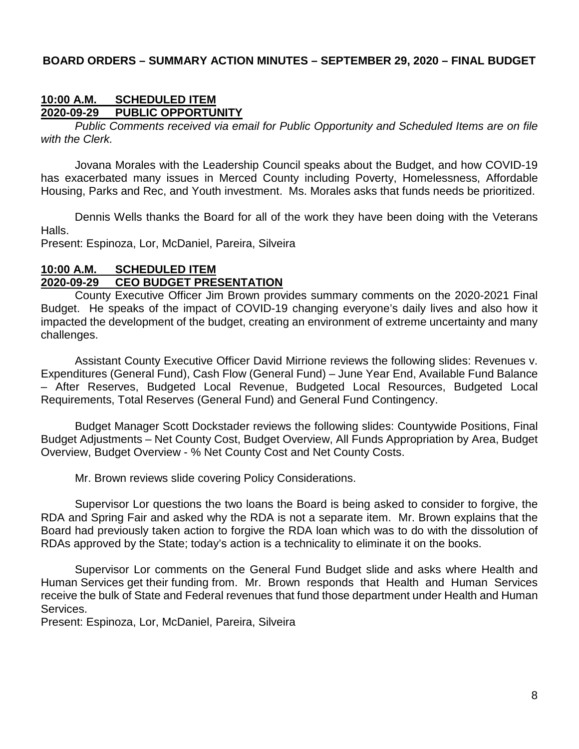#### **BOARD ORDERS – SUMMARY ACTION MINUTES – SEPTEMBER 29, 2020 – FINAL BUDGET**

#### **10:00 A.M. SCHEDULED ITEM 2020-09-29 PUBLIC OPPORTUNITY**

*Public Comments received via email for Public Opportunity and Scheduled Items are on file with the Clerk.*

Jovana Morales with the Leadership Council speaks about the Budget, and how COVID-19 has exacerbated many issues in Merced County including Poverty, Homelessness, Affordable Housing, Parks and Rec, and Youth investment. Ms. Morales asks that funds needs be prioritized.

Dennis Wells thanks the Board for all of the work they have been doing with the Veterans Halls.

Present: Espinoza, Lor, McDaniel, Pareira, Silveira

### **10:00 A.M. SCHEDULED ITEM 2020-09-29 CEO BUDGET PRESENTATION**

County Executive Officer Jim Brown provides summary comments on the 2020-2021 Final Budget. He speaks of the impact of COVID-19 changing everyone's daily lives and also how it impacted the development of the budget, creating an environment of extreme uncertainty and many challenges.

Assistant County Executive Officer David Mirrione reviews the following slides: Revenues v. Expenditures (General Fund), Cash Flow (General Fund) – June Year End, Available Fund Balance – After Reserves, Budgeted Local Revenue, Budgeted Local Resources, Budgeted Local Requirements, Total Reserves (General Fund) and General Fund Contingency.

Budget Manager Scott Dockstader reviews the following slides: Countywide Positions, Final Budget Adjustments – Net County Cost, Budget Overview, All Funds Appropriation by Area, Budget Overview, Budget Overview - % Net County Cost and Net County Costs.

Mr. Brown reviews slide covering Policy Considerations.

Supervisor Lor questions the two loans the Board is being asked to consider to forgive, the RDA and Spring Fair and asked why the RDA is not a separate item. Mr. Brown explains that the Board had previously taken action to forgive the RDA loan which was to do with the dissolution of RDAs approved by the State; today's action is a technicality to eliminate it on the books.

Supervisor Lor comments on the General Fund Budget slide and asks where Health and Human Services get their funding from. Mr. Brown responds that Health and Human Services receive the bulk of State and Federal revenues that fund those department under Health and Human Services.

Present: Espinoza, Lor, McDaniel, Pareira, Silveira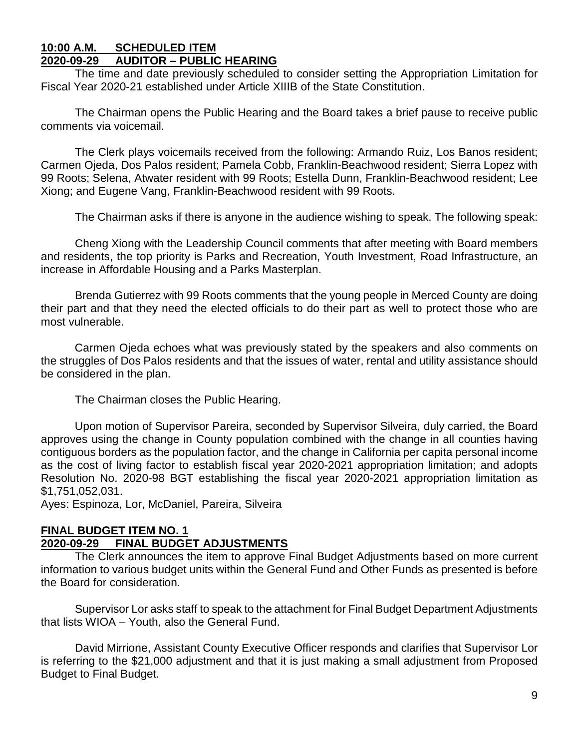#### **10:00 A.M. SCHEDULED ITEM 2020-09-29 AUDITOR – PUBLIC HEARING**

The time and date previously scheduled to consider setting the Appropriation Limitation for Fiscal Year 2020-21 established under Article XIIIB of the State Constitution.

The Chairman opens the Public Hearing and the Board takes a brief pause to receive public comments via voicemail.

The Clerk plays voicemails received from the following: Armando Ruiz, Los Banos resident; Carmen Ojeda, Dos Palos resident; Pamela Cobb, Franklin-Beachwood resident; Sierra Lopez with 99 Roots; Selena, Atwater resident with 99 Roots; Estella Dunn, Franklin-Beachwood resident; Lee Xiong; and Eugene Vang, Franklin-Beachwood resident with 99 Roots.

The Chairman asks if there is anyone in the audience wishing to speak. The following speak:

Cheng Xiong with the Leadership Council comments that after meeting with Board members and residents, the top priority is Parks and Recreation, Youth Investment, Road Infrastructure, an increase in Affordable Housing and a Parks Masterplan.

Brenda Gutierrez with 99 Roots comments that the young people in Merced County are doing their part and that they need the elected officials to do their part as well to protect those who are most vulnerable.

Carmen Ojeda echoes what was previously stated by the speakers and also comments on the struggles of Dos Palos residents and that the issues of water, rental and utility assistance should be considered in the plan.

The Chairman closes the Public Hearing.

Upon motion of Supervisor Pareira, seconded by Supervisor Silveira, duly carried, the Board approves using the change in County population combined with the change in all counties having contiguous borders as the population factor, and the change in California per capita personal income as the cost of living factor to establish fiscal year 2020-2021 appropriation limitation; and adopts Resolution No. 2020-98 BGT establishing the fiscal year 2020-2021 appropriation limitation as \$1,751,052,031.

Ayes: Espinoza, Lor, McDaniel, Pareira, Silveira

# **FINAL BUDGET ITEM NO. 1**

### **2020-09-29 FINAL BUDGET ADJUSTMENTS**

The Clerk announces the item to approve Final Budget Adjustments based on more current information to various budget units within the General Fund and Other Funds as presented is before the Board for consideration.

Supervisor Lor asks staff to speak to the attachment for Final Budget Department Adjustments that lists WIOA – Youth, also the General Fund.

David Mirrione, Assistant County Executive Officer responds and clarifies that Supervisor Lor is referring to the \$21,000 adjustment and that it is just making a small adjustment from Proposed Budget to Final Budget.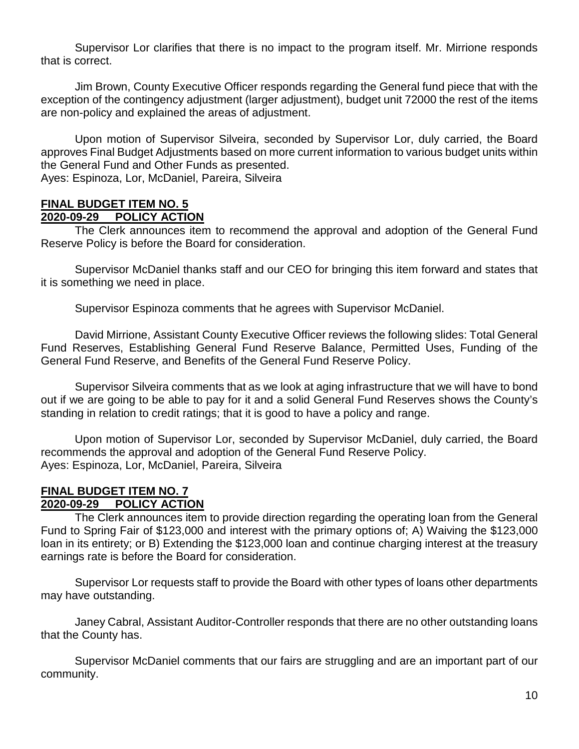Supervisor Lor clarifies that there is no impact to the program itself. Mr. Mirrione responds that is correct.

Jim Brown, County Executive Officer responds regarding the General fund piece that with the exception of the contingency adjustment (larger adjustment), budget unit 72000 the rest of the items are non-policy and explained the areas of adjustment.

Upon motion of Supervisor Silveira, seconded by Supervisor Lor, duly carried, the Board approves Final Budget Adjustments based on more current information to various budget units within the General Fund and Other Funds as presented.

Ayes: Espinoza, Lor, McDaniel, Pareira, Silveira

# **FINAL BUDGET ITEM NO. 5**

#### **2020-09-29 POLICY ACTION**

The Clerk announces item to recommend the approval and adoption of the General Fund Reserve Policy is before the Board for consideration.

Supervisor McDaniel thanks staff and our CEO for bringing this item forward and states that it is something we need in place.

Supervisor Espinoza comments that he agrees with Supervisor McDaniel.

David Mirrione, Assistant County Executive Officer reviews the following slides: Total General Fund Reserves, Establishing General Fund Reserve Balance, Permitted Uses, Funding of the General Fund Reserve, and Benefits of the General Fund Reserve Policy.

Supervisor Silveira comments that as we look at aging infrastructure that we will have to bond out if we are going to be able to pay for it and a solid General Fund Reserves shows the County's standing in relation to credit ratings; that it is good to have a policy and range.

Upon motion of Supervisor Lor, seconded by Supervisor McDaniel, duly carried, the Board recommends the approval and adoption of the General Fund Reserve Policy. Ayes: Espinoza, Lor, McDaniel, Pareira, Silveira

#### **FINAL BUDGET ITEM NO. 7 2020-09-29 POLICY ACTION**

The Clerk announces item to provide direction regarding the operating loan from the General Fund to Spring Fair of \$123,000 and interest with the primary options of; A) Waiving the \$123,000 loan in its entirety; or B) Extending the \$123,000 loan and continue charging interest at the treasury earnings rate is before the Board for consideration.

Supervisor Lor requests staff to provide the Board with other types of loans other departments may have outstanding.

Janey Cabral, Assistant Auditor-Controller responds that there are no other outstanding loans that the County has.

Supervisor McDaniel comments that our fairs are struggling and are an important part of our community.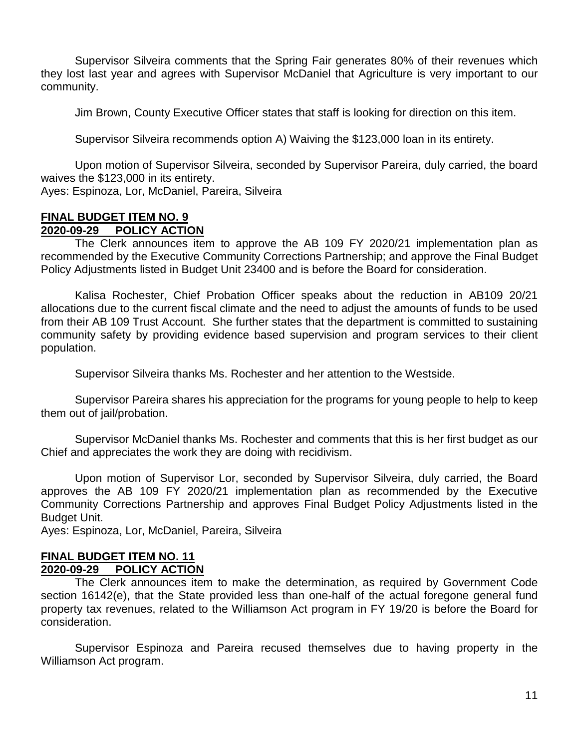Supervisor Silveira comments that the Spring Fair generates 80% of their revenues which they lost last year and agrees with Supervisor McDaniel that Agriculture is very important to our community.

Jim Brown, County Executive Officer states that staff is looking for direction on this item.

Supervisor Silveira recommends option A) Waiving the \$123,000 loan in its entirety.

Upon motion of Supervisor Silveira, seconded by Supervisor Pareira, duly carried, the board waives the \$123,000 in its entirety.

Ayes: Espinoza, Lor, McDaniel, Pareira, Silveira

#### **FINAL BUDGET ITEM NO. 9 2020 POLICY ACTION**

The Clerk announces item to approve the AB 109 FY 2020/21 implementation plan as recommended by the Executive Community Corrections Partnership; and approve the Final Budget Policy Adjustments listed in Budget Unit 23400 and is before the Board for consideration.

Kalisa Rochester, Chief Probation Officer speaks about the reduction in AB109 20/21 allocations due to the current fiscal climate and the need to adjust the amounts of funds to be used from their AB 109 Trust Account. She further states that the department is committed to sustaining community safety by providing evidence based supervision and program services to their client population.

Supervisor Silveira thanks Ms. Rochester and her attention to the Westside.

Supervisor Pareira shares his appreciation for the programs for young people to help to keep them out of jail/probation.

Supervisor McDaniel thanks Ms. Rochester and comments that this is her first budget as our Chief and appreciates the work they are doing with recidivism.

Upon motion of Supervisor Lor, seconded by Supervisor Silveira, duly carried, the Board approves the AB 109 FY 2020/21 implementation plan as recommended by the Executive Community Corrections Partnership and approves Final Budget Policy Adjustments listed in the Budget Unit.

Ayes: Espinoza, Lor, McDaniel, Pareira, Silveira

# **FINAL BUDGET ITEM NO. 11**

# **2020-09-29 POLICY ACTION**

The Clerk announces item to make the determination, as required by Government Code section 16142(e), that the State provided less than one-half of the actual foregone general fund property tax revenues, related to the Williamson Act program in FY 19/20 is before the Board for consideration.

Supervisor Espinoza and Pareira recused themselves due to having property in the Williamson Act program.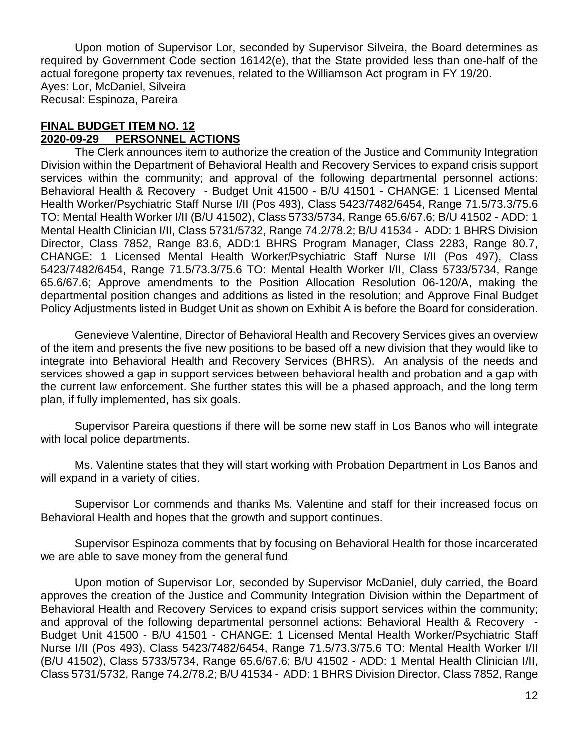Upon motion of Supervisor Lor, seconded by Supervisor Silveira, the Board determines as required by Government Code section 16142(e), that the State provided less than one-half of the actual foregone property tax revenues, related to the Williamson Act program in FY 19/20. Ayes: Lor, McDaniel, Silveira Recusal: Espinoza, Pareira

#### **FINAL BUDGET ITEM NO. 12 2020-09-29 PERSONNEL ACTIONS**

The Clerk announces item to authorize the creation of the Justice and Community Integration Division within the Department of Behavioral Health and Recovery Services to expand crisis support services within the community; and approval of the following departmental personnel actions: Behavioral Health & Recovery - Budget Unit 41500 - B/U 41501 - CHANGE: 1 Licensed Mental Health Worker/Psychiatric Staff Nurse I/II (Pos 493), Class 5423/7482/6454, Range 71.5/73.3/75.6 TO: Mental Health Worker I/II (B/U 41502), Class 5733/5734, Range 65.6/67.6; B/U 41502 - ADD: 1 Mental Health Clinician I/II, Class 5731/5732, Range 74.2/78.2; B/U 41534 - ADD: 1 BHRS Division Director, Class 7852, Range 83.6, ADD:1 BHRS Program Manager, Class 2283, Range 80.7, CHANGE: 1 Licensed Mental Health Worker/Psychiatric Staff Nurse I/II (Pos 497), Class 5423/7482/6454, Range 71.5/73.3/75.6 TO: Mental Health Worker I/II, Class 5733/5734, Range 65.6/67.6; Approve amendments to the Position Allocation Resolution 06-120/A, making the departmental position changes and additions as listed in the resolution; and Approve Final Budget Policy Adjustments listed in Budget Unit as shown on Exhibit A is before the Board for consideration.

Genevieve Valentine, Director of Behavioral Health and Recovery Services gives an overview of the item and presents the five new positions to be based off a new division that they would like to integrate into Behavioral Health and Recovery Services (BHRS). An analysis of the needs and services showed a gap in support services between behavioral health and probation and a gap with the current law enforcement. She further states this will be a phased approach, and the long term plan, if fully implemented, has six goals.

Supervisor Pareira questions if there will be some new staff in Los Banos who will integrate with local police departments.

Ms. Valentine states that they will start working with Probation Department in Los Banos and will expand in a variety of cities.

Supervisor Lor commends and thanks Ms. Valentine and staff for their increased focus on Behavioral Health and hopes that the growth and support continues.

Supervisor Espinoza comments that by focusing on Behavioral Health for those incarcerated we are able to save money from the general fund.

Upon motion of Supervisor Lor, seconded by Supervisor McDaniel, duly carried, the Board approves the creation of the Justice and Community Integration Division within the Department of Behavioral Health and Recovery Services to expand crisis support services within the community; and approval of the following departmental personnel actions: Behavioral Health & Recovery - Budget Unit 41500 - B/U 41501 - CHANGE: 1 Licensed Mental Health Worker/Psychiatric Staff Nurse I/II (Pos 493), Class 5423/7482/6454, Range 71.5/73.3/75.6 TO: Mental Health Worker I/II (B/U 41502), Class 5733/5734, Range 65.6/67.6; B/U 41502 - ADD: 1 Mental Health Clinician I/II, Class 5731/5732, Range 74.2/78.2; B/U 41534 - ADD: 1 BHRS Division Director, Class 7852, Range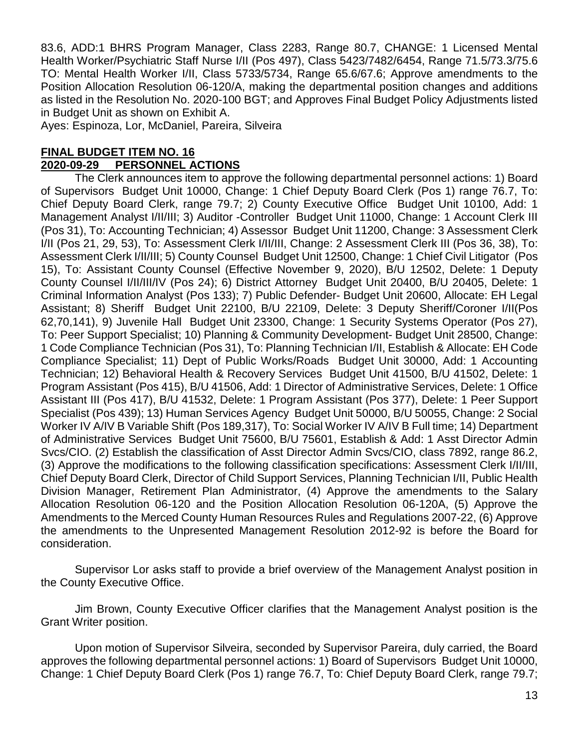83.6, ADD:1 BHRS Program Manager, Class 2283, Range 80.7, CHANGE: 1 Licensed Mental Health Worker/Psychiatric Staff Nurse I/II (Pos 497), Class 5423/7482/6454, Range 71.5/73.3/75.6 TO: Mental Health Worker I/II, Class 5733/5734, Range 65.6/67.6; Approve amendments to the Position Allocation Resolution 06-120/A, making the departmental position changes and additions as listed in the Resolution No. 2020-100 BGT; and Approves Final Budget Policy Adjustments listed in Budget Unit as shown on Exhibit A.

Ayes: Espinoza, Lor, McDaniel, Pareira, Silveira

#### **FINAL BUDGET ITEM NO. 16 2020-09-29 PERSONNEL ACTIONS**

The Clerk announces item to approve the following departmental personnel actions: 1) Board of Supervisors Budget Unit 10000, Change: 1 Chief Deputy Board Clerk (Pos 1) range 76.7, To: Chief Deputy Board Clerk, range 79.7; 2) County Executive Office Budget Unit 10100, Add: 1 Management Analyst I/II/III; 3) Auditor -Controller Budget Unit 11000, Change: 1 Account Clerk III (Pos 31), To: Accounting Technician; 4) Assessor Budget Unit 11200, Change: 3 Assessment Clerk I/II (Pos 21, 29, 53), To: Assessment Clerk I/II/III, Change: 2 Assessment Clerk III (Pos 36, 38), To: Assessment Clerk I/II/III; 5) County Counsel Budget Unit 12500, Change: 1 Chief Civil Litigator (Pos 15), To: Assistant County Counsel (Effective November 9, 2020), B/U 12502, Delete: 1 Deputy County Counsel I/II/III/IV (Pos 24); 6) District Attorney Budget Unit 20400, B/U 20405, Delete: 1 Criminal Information Analyst (Pos 133); 7) Public Defender- Budget Unit 20600, Allocate: EH Legal Assistant; 8) Sheriff Budget Unit 22100, B/U 22109, Delete: 3 Deputy Sheriff/Coroner I/II(Pos 62,70,141), 9) Juvenile Hall Budget Unit 23300, Change: 1 Security Systems Operator (Pos 27), To: Peer Support Specialist; 10) Planning & Community Development- Budget Unit 28500, Change: 1 Code Compliance Technician (Pos 31), To: Planning Technician I/II, Establish & Allocate: EH Code Compliance Specialist; 11) Dept of Public Works/Roads Budget Unit 30000, Add: 1 Accounting Technician; 12) Behavioral Health & Recovery Services Budget Unit 41500, B/U 41502, Delete: 1 Program Assistant (Pos 415), B/U 41506, Add: 1 Director of Administrative Services, Delete: 1 Office Assistant III (Pos 417), B/U 41532, Delete: 1 Program Assistant (Pos 377), Delete: 1 Peer Support Specialist (Pos 439); 13) Human Services Agency Budget Unit 50000, B/U 50055, Change: 2 Social Worker IV A/IV B Variable Shift (Pos 189,317), To: Social Worker IV A/IV B Full time; 14) Department of Administrative Services Budget Unit 75600, B/U 75601, Establish & Add: 1 Asst Director Admin Svcs/CIO. (2) Establish the classification of Asst Director Admin Svcs/CIO, class 7892, range 86.2, (3) Approve the modifications to the following classification specifications: Assessment Clerk I/II/III, Chief Deputy Board Clerk, Director of Child Support Services, Planning Technician I/II, Public Health Division Manager, Retirement Plan Administrator, (4) Approve the amendments to the Salary Allocation Resolution 06-120 and the Position Allocation Resolution 06-120A, (5) Approve the Amendments to the Merced County Human Resources Rules and Regulations 2007-22, (6) Approve the amendments to the Unpresented Management Resolution 2012-92 is before the Board for consideration.

Supervisor Lor asks staff to provide a brief overview of the Management Analyst position in the County Executive Office.

Jim Brown, County Executive Officer clarifies that the Management Analyst position is the Grant Writer position.

Upon motion of Supervisor Silveira, seconded by Supervisor Pareira, duly carried, the Board approves the following departmental personnel actions: 1) Board of Supervisors Budget Unit 10000, Change: 1 Chief Deputy Board Clerk (Pos 1) range 76.7, To: Chief Deputy Board Clerk, range 79.7;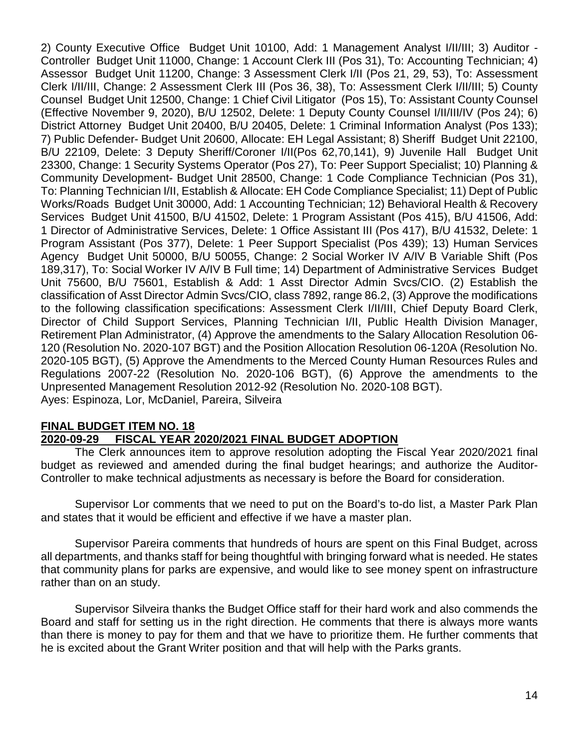2) County Executive Office Budget Unit 10100, Add: 1 Management Analyst I/II/III; 3) Auditor - Controller Budget Unit 11000, Change: 1 Account Clerk III (Pos 31), To: Accounting Technician; 4) Assessor Budget Unit 11200, Change: 3 Assessment Clerk I/II (Pos 21, 29, 53), To: Assessment Clerk I/II/III, Change: 2 Assessment Clerk III (Pos 36, 38), To: Assessment Clerk I/II/III; 5) County Counsel Budget Unit 12500, Change: 1 Chief Civil Litigator (Pos 15), To: Assistant County Counsel (Effective November 9, 2020), B/U 12502, Delete: 1 Deputy County Counsel I/II/III/IV (Pos 24); 6) District Attorney Budget Unit 20400, B/U 20405, Delete: 1 Criminal Information Analyst (Pos 133); 7) Public Defender- Budget Unit 20600, Allocate: EH Legal Assistant; 8) Sheriff Budget Unit 22100, B/U 22109, Delete: 3 Deputy Sheriff/Coroner I/II(Pos 62,70,141), 9) Juvenile Hall Budget Unit 23300, Change: 1 Security Systems Operator (Pos 27), To: Peer Support Specialist; 10) Planning & Community Development- Budget Unit 28500, Change: 1 Code Compliance Technician (Pos 31), To: Planning Technician I/II, Establish & Allocate: EH Code Compliance Specialist; 11) Dept of Public Works/Roads Budget Unit 30000, Add: 1 Accounting Technician; 12) Behavioral Health & Recovery Services Budget Unit 41500, B/U 41502, Delete: 1 Program Assistant (Pos 415), B/U 41506, Add: 1 Director of Administrative Services, Delete: 1 Office Assistant III (Pos 417), B/U 41532, Delete: 1 Program Assistant (Pos 377), Delete: 1 Peer Support Specialist (Pos 439); 13) Human Services Agency Budget Unit 50000, B/U 50055, Change: 2 Social Worker IV A/IV B Variable Shift (Pos 189,317), To: Social Worker IV A/IV B Full time; 14) Department of Administrative Services Budget Unit 75600, B/U 75601, Establish & Add: 1 Asst Director Admin Svcs/CIO. (2) Establish the classification of Asst Director Admin Svcs/CIO, class 7892, range 86.2, (3) Approve the modifications to the following classification specifications: Assessment Clerk I/II/III, Chief Deputy Board Clerk, Director of Child Support Services, Planning Technician I/II, Public Health Division Manager, Retirement Plan Administrator, (4) Approve the amendments to the Salary Allocation Resolution 06- 120 (Resolution No. 2020-107 BGT) and the Position Allocation Resolution 06-120A (Resolution No. 2020-105 BGT), (5) Approve the Amendments to the Merced County Human Resources Rules and Regulations 2007-22 (Resolution No. 2020-106 BGT), (6) Approve the amendments to the Unpresented Management Resolution 2012-92 (Resolution No. 2020-108 BGT). Ayes: Espinoza, Lor, McDaniel, Pareira, Silveira

# **FINAL BUDGET ITEM NO. 18**

### **2020-09-29 FISCAL YEAR 2020/2021 FINAL BUDGET ADOPTION**

The Clerk announces item to approve resolution adopting the Fiscal Year 2020/2021 final budget as reviewed and amended during the final budget hearings; and authorize the Auditor-Controller to make technical adjustments as necessary is before the Board for consideration.

Supervisor Lor comments that we need to put on the Board's to-do list, a Master Park Plan and states that it would be efficient and effective if we have a master plan.

Supervisor Pareira comments that hundreds of hours are spent on this Final Budget, across all departments, and thanks staff for being thoughtful with bringing forward what is needed. He states that community plans for parks are expensive, and would like to see money spent on infrastructure rather than on an study.

Supervisor Silveira thanks the Budget Office staff for their hard work and also commends the Board and staff for setting us in the right direction. He comments that there is always more wants than there is money to pay for them and that we have to prioritize them. He further comments that he is excited about the Grant Writer position and that will help with the Parks grants.